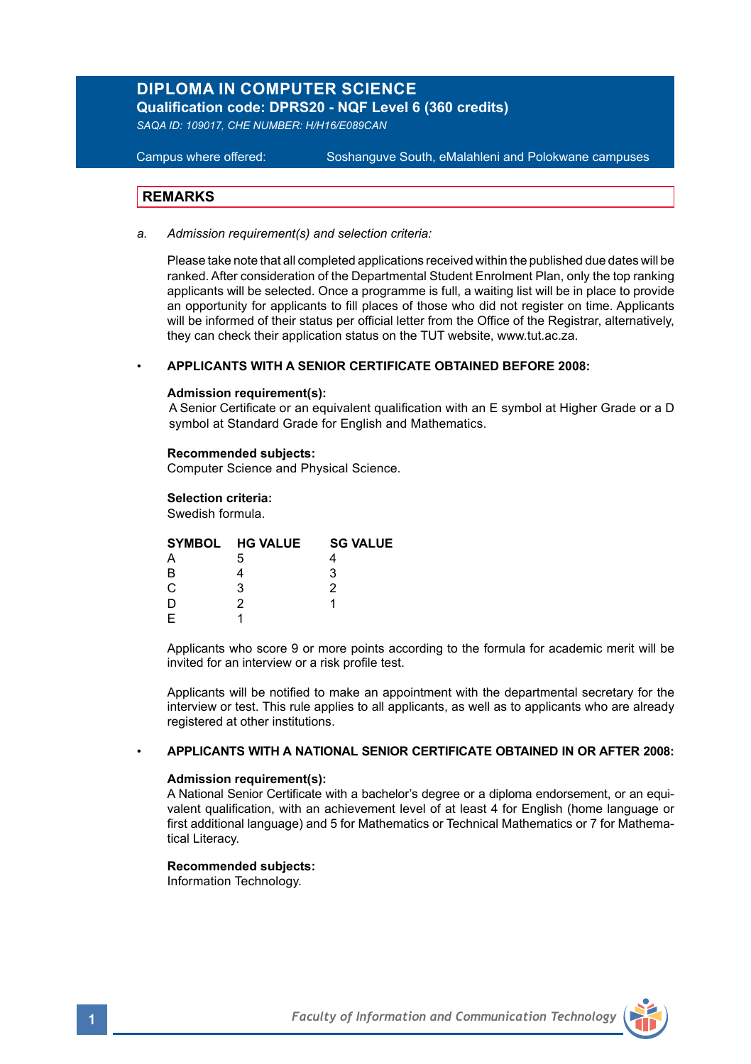# **DIPLOMA IN COMPUTER SCIENCE**

**Qualification code: DPRS20 - NQF Level 6 (360 credits)** 

*SAQA ID: 109017, CHE NUMBER: H/H16/E089CAN*

**Campus where offered:** 

Soshanguve South, eMalahleni and Polokwane campuses

## **REMARKS**

*a. Admission requirement(s) and selection criteria:*

Please take note that all completed applications received within the published due dates will be ranked. After consideration of the Departmental Student Enrolment Plan, only the top ranking applicants will be selected. Once a programme is full, a waiting list will be in place to provide an opportunity for applicants to fill places of those who did not register on time. Applicants will be informed of their status per official letter from the Office of the Registrar, alternatively, they can check their application status on the TUT website, www.tut.ac.za.

## • **APPLICANTS WITH A SENIOR CERTIFICATE OBTAINED BEFORE 2008:**

### **Admission requirement(s):**

A Senior Certificate or an equivalent qualification with an E symbol at Higher Grade or a D symbol at Standard Grade for English and Mathematics.

#### **Recommended subjects:**

Computer Science and Physical Science.

### **Selection criteria:**

Swedish formula.

|    | SYMBOL HG VALUE | <b>SG VALUE</b> |
|----|-----------------|-----------------|
|    | 5               |                 |
| R  |                 |                 |
| C. | 2               |                 |
|    |                 |                 |
|    |                 |                 |
|    |                 |                 |

Applicants who score 9 or more points according to the formula for academic merit will be invited for an interview or a risk profile test.

Applicants will be notified to make an appointment with the departmental secretary for the interview or test. This rule applies to all applicants, as well as to applicants who are already registered at other institutions.

### • **APPLICANTS WITH A NATIONAL SENIOR CERTIFICATE OBTAINED IN OR AFTER 2008:**

### **Admission requirement(s):**

A National Senior Certificate with a bachelor's degree or a diploma endorsement, or an equivalent qualification, with an achievement level of at least 4 for English (home language or first additional language) and 5 for Mathematics or Technical Mathematics or 7 for Mathematical Literacy.

## **Recommended subjects:**

Information Technology.

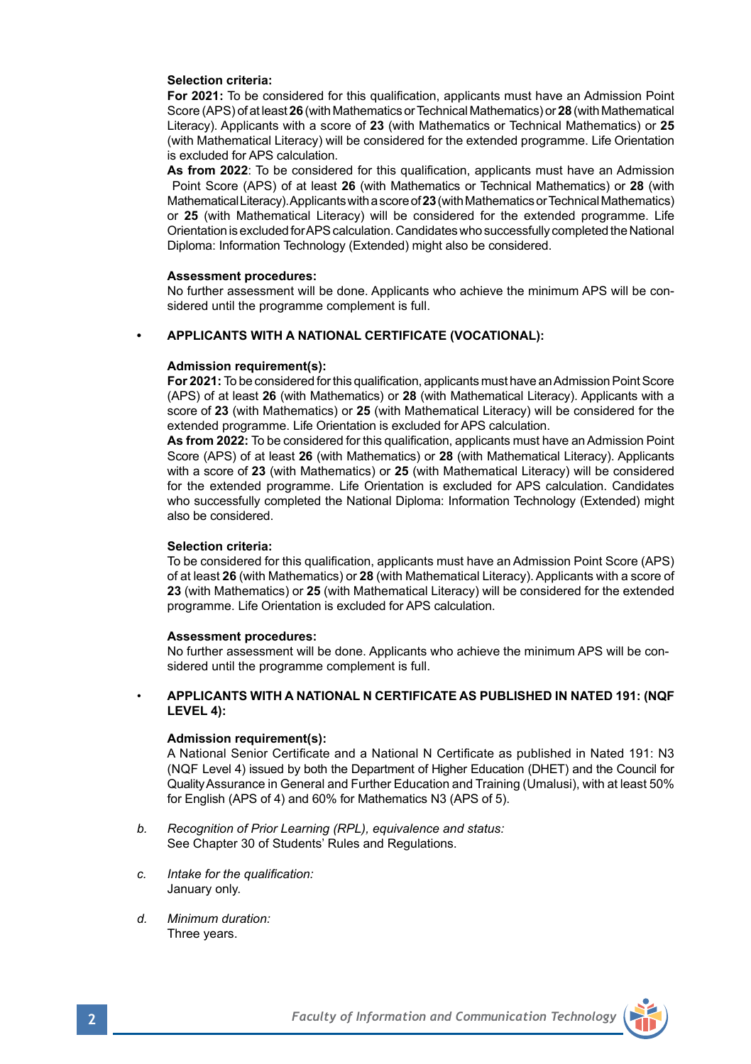### **Selection criteria:**

**For 2021:** To be considered for this qualification, applicants must have an Admission Point Score (APS) of at least **26** (with Mathematics or Technical Mathematics) or **28** (with Mathematical Literacy). Applicants with a score of **23** (with Mathematics or Technical Mathematics) or **25** (with Mathematical Literacy) will be considered for the extended programme. Life Orientation is excluded for APS calculation.

**As from 2022**: To be considered for this qualification, applicants must have an Admission Point Score (APS) of at least **26** (with Mathematics or Technical Mathematics) or **28** (with Mathematical Literacy). Applicants with a score of **23** (with Mathematics or Technical Mathematics) or **25** (with Mathematical Literacy) will be considered for the extended programme. Life Orientation is excluded for APS calculation. Candidates who successfully completed the National Diploma: Information Technology (Extended) might also be considered.

#### **Assessment procedures:**

No further assessment will be done. Applicants who achieve the minimum APS will be considered until the programme complement is full.

### **• APPLICANTS WITH A NATIONAL CERTIFICATE (VOCATIONAL):**

#### **Admission requirement(s):**

**For 2021:** To be considered for this qualification, applicants must have an Admission Point Score (APS) of at least **26** (with Mathematics) or **28** (with Mathematical Literacy). Applicants with a score of **23** (with Mathematics) or **25** (with Mathematical Literacy) will be considered for the extended programme. Life Orientation is excluded for APS calculation.

**As from 2022:** To be considered for this qualification, applicants must have an Admission Point Score (APS) of at least **26** (with Mathematics) or **28** (with Mathematical Literacy). Applicants with a score of **23** (with Mathematics) or **25** (with Mathematical Literacy) will be considered for the extended programme. Life Orientation is excluded for APS calculation. Candidates who successfully completed the National Diploma: Information Technology (Extended) might also be considered.

#### **Selection criteria:**

To be considered for this qualification, applicants must have an Admission Point Score (APS) of at least **26** (with Mathematics) or **28** (with Mathematical Literacy). Applicants with a score of **23** (with Mathematics) or **25** (with Mathematical Literacy) will be considered for the extended programme. Life Orientation is excluded for APS calculation.

#### **Assessment procedures:**

No further assessment will be done. Applicants who achieve the minimum APS will be considered until the programme complement is full.

### • **APPLICANTS WITH A NATIONAL N CERTIFICATE AS PUBLISHED IN NATED 191: (NQF LEVEL 4):**

#### **Admission requirement(s):**

A National Senior Certificate and a National N Certificate as published in Nated 191: N3 (NQF Level 4) issued by both the Department of Higher Education (DHET) and the Council for Quality Assurance in General and Further Education and Training (Umalusi), with at least 50% for English (APS of 4) and 60% for Mathematics N3 (APS of 5).

- *b. Recognition of Prior Learning (RPL), equivalence and status:* See Chapter 30 of Students' Rules and Regulations.
- *c. Intake for the qualification:*  January only.
- *d. Minimum duration:* Three years.

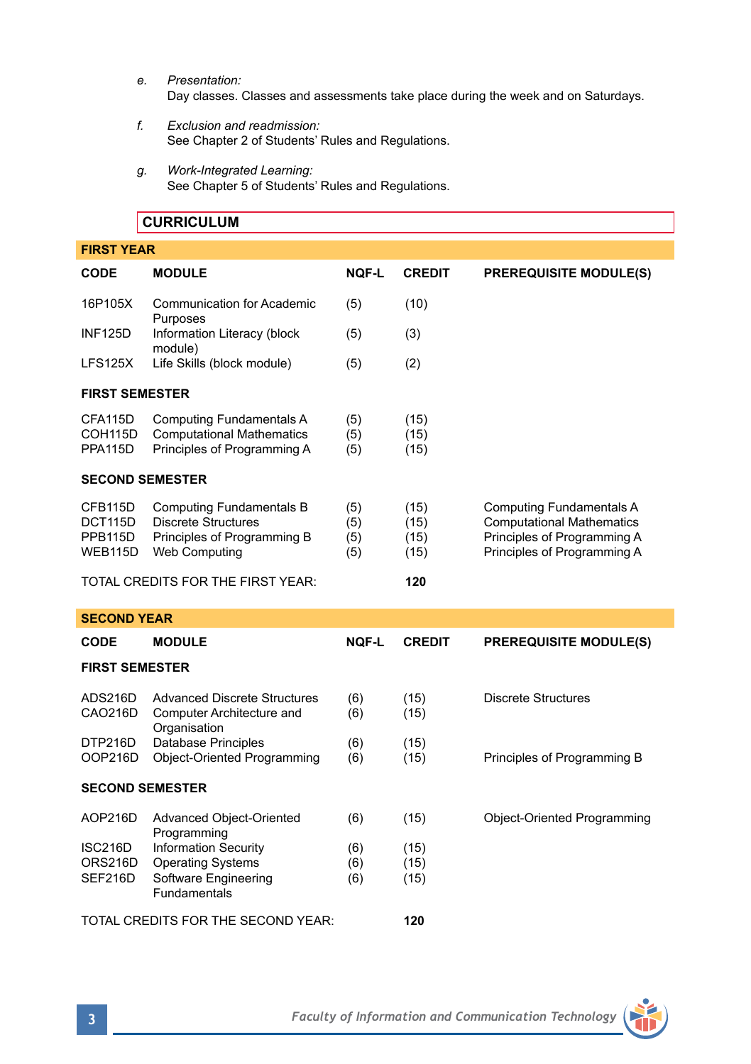- *e. Presentation:*  Day classes. Classes and assessments take place during the week and on Saturdays.
- *f. Exclusion and readmission:* See Chapter 2 of Students' Rules and Regulations.
- *g. Work-Integrated Learning:* See Chapter 5 of Students' Rules and Regulations.

|                                          | <b>CURRICULUM</b>                                                                                                    |                          |                              |                                                                                                                                   |  |
|------------------------------------------|----------------------------------------------------------------------------------------------------------------------|--------------------------|------------------------------|-----------------------------------------------------------------------------------------------------------------------------------|--|
| <b>FIRST YEAR</b>                        |                                                                                                                      |                          |                              |                                                                                                                                   |  |
| <b>CODE</b>                              | <b>MODULE</b>                                                                                                        | <b>NOF-L</b>             | <b>CREDIT</b>                | <b>PREREQUISITE MODULE(S)</b>                                                                                                     |  |
| 16P105X                                  | <b>Communication for Academic</b><br>Purposes                                                                        | (5)                      | (10)                         |                                                                                                                                   |  |
| <b>INF125D</b>                           | Information Literacy (block<br>module)                                                                               | (5)                      | (3)                          |                                                                                                                                   |  |
| <b>LFS125X</b>                           | Life Skills (block module)                                                                                           | (5)                      | (2)                          |                                                                                                                                   |  |
| <b>FIRST SEMESTER</b>                    |                                                                                                                      |                          |                              |                                                                                                                                   |  |
| CFA115D<br>COH115D<br>PPA115D            | <b>Computing Fundamentals A</b><br><b>Computational Mathematics</b><br>Principles of Programming A                   | (5)<br>(5)<br>(5)        | (15)<br>(15)<br>(15)         |                                                                                                                                   |  |
| <b>SECOND SEMESTER</b>                   |                                                                                                                      |                          |                              |                                                                                                                                   |  |
| CFB115D<br>DCT115D<br>PPB115D<br>WEB115D | <b>Computing Fundamentals B</b><br><b>Discrete Structures</b><br>Principles of Programming B<br><b>Web Computing</b> | (5)<br>(5)<br>(5)<br>(5) | (15)<br>(15)<br>(15)<br>(15) | <b>Computing Fundamentals A</b><br><b>Computational Mathematics</b><br>Principles of Programming A<br>Principles of Programming A |  |
| TOTAL CREDITS FOR THE FIRST YEAR:        |                                                                                                                      |                          | 120                          |                                                                                                                                   |  |
| <b>SECOND YEAR</b>                       |                                                                                                                      |                          |                              |                                                                                                                                   |  |
| <b>CODE</b>                              | <b>MODULE</b>                                                                                                        | <b>NOF-L</b>             | <b>CREDIT</b>                | <b>PREREQUISITE MODULE(S)</b>                                                                                                     |  |
| <b>FIRST SEMESTER</b>                    |                                                                                                                      |                          |                              |                                                                                                                                   |  |
| ADS216D<br>CAO216D                       | <b>Advanced Discrete Structures</b><br>Computer Architecture and<br>Organisation                                     | (6)<br>(6)               | (15)<br>(15)                 | <b>Discrete Structures</b>                                                                                                        |  |
| DTP216D<br>OOP216D                       | <b>Database Principles</b><br><b>Object-Oriented Programming</b>                                                     | (6)<br>(6)               | (15)<br>(15)                 | Principles of Programming B                                                                                                       |  |

### **SECOND SEMESTER**

| AOP216D | Advanced Object-Oriented                    | (6) | (15) | Object-Oriented Programming |
|---------|---------------------------------------------|-----|------|-----------------------------|
| ISC216D | Programming<br><b>Information Security</b>  | (6) | (15) |                             |
| ORS216D | <b>Operating Systems</b>                    | (6) | (15) |                             |
| SEF216D | Software Engineering<br><b>Fundamentals</b> | (6) | (15) |                             |
|         | TOTAL CREDITS FOR THE SECOND YEAR:          |     | 120  |                             |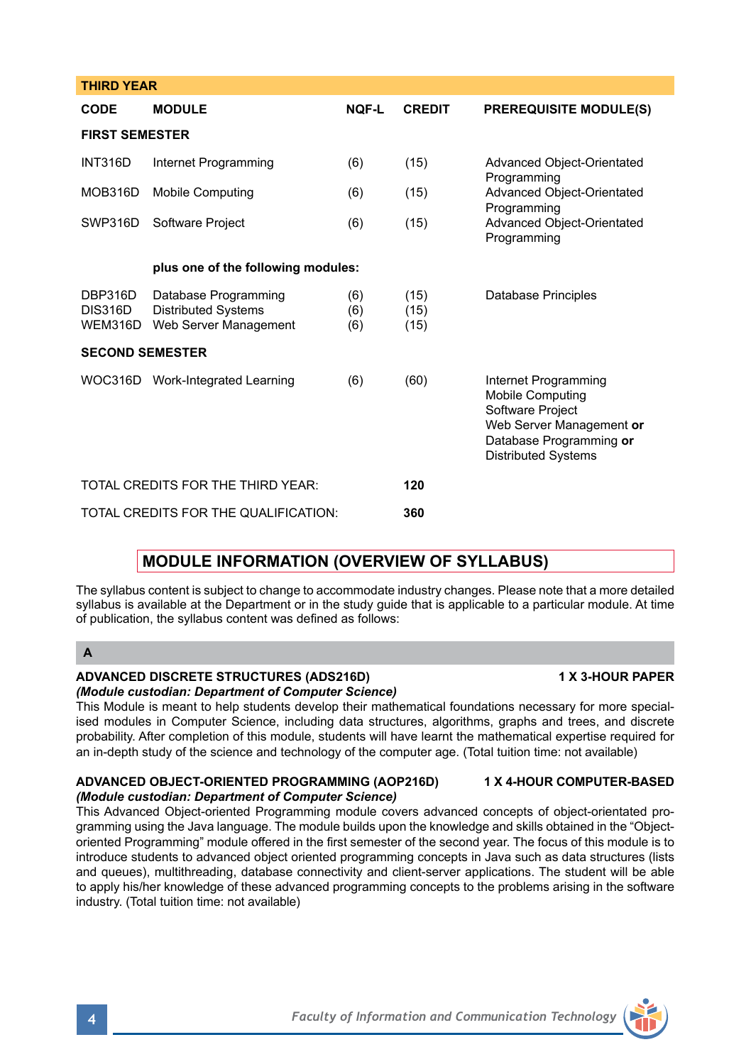|                                                                                                                                                                                                                                                                                                                                                                                                                                                                                                                                                                                      | WOC316D Work-Integrated Learning                             | (6) | (60) | Internet Programming<br><b>Mobile Computing</b><br>Software Project<br>Web Server Management or<br>Database Programming or<br><b>Distributed Systems</b>                                                                        |
|--------------------------------------------------------------------------------------------------------------------------------------------------------------------------------------------------------------------------------------------------------------------------------------------------------------------------------------------------------------------------------------------------------------------------------------------------------------------------------------------------------------------------------------------------------------------------------------|--------------------------------------------------------------|-----|------|---------------------------------------------------------------------------------------------------------------------------------------------------------------------------------------------------------------------------------|
|                                                                                                                                                                                                                                                                                                                                                                                                                                                                                                                                                                                      | TOTAL CREDITS FOR THE THIRD YEAR:                            |     | 120  |                                                                                                                                                                                                                                 |
|                                                                                                                                                                                                                                                                                                                                                                                                                                                                                                                                                                                      | TOTAL CREDITS FOR THE QUALIFICATION:                         |     | 360  |                                                                                                                                                                                                                                 |
|                                                                                                                                                                                                                                                                                                                                                                                                                                                                                                                                                                                      | <b>MODULE INFORMATION (OVERVIEW OF SYLLABUS)</b>             |     |      |                                                                                                                                                                                                                                 |
|                                                                                                                                                                                                                                                                                                                                                                                                                                                                                                                                                                                      | of publication, the syllabus content was defined as follows: |     |      | The syllabus content is subject to change to accommodate industry changes. Please note that a more detailed<br>syllabus is available at the Department or in the study guide that is applicable to a particular module. At time |
| $\mathbf{A}$                                                                                                                                                                                                                                                                                                                                                                                                                                                                                                                                                                         |                                                              |     |      |                                                                                                                                                                                                                                 |
| <b>ADVANCED DISCRETE STRUCTURES (ADS216D)</b><br><b>1 X 3-HOUR PAPER</b><br>(Module custodian: Department of Computer Science)<br>This Module is meant to help students develop their mathematical foundations necessary for more special-<br>ised modules in Computer Science, including data structures, algorithms, graphs and trees, and discrete<br>probability. After completion of this module, students will have learnt the mathematical expertise required for<br>an in-depth study of the science and technology of the computer age. (Total tuition time: not available) |                                                              |     |      |                                                                                                                                                                                                                                 |
|                                                                                                                                                                                                                                                                                                                                                                                                                                                                                                                                                                                      | ADVANCED OBJECT-ORIENTED PROGRAMMING (AOP216D)               |     |      | <b>1 X 4-HOUR COMPUTER-BASED</b>                                                                                                                                                                                                |

**CODE MODULE NQF-L CREDIT PREREQUISITE MODULE(S)**

INT316D Internet Programming (6) (15) Advanced Object-Orientated

MOB316D Mobile Computing (6) (15) Advanced Object-Orientated

DBP316D Database Programming (6) (15) Database Principles<br>DIS316D Distributed Systems (6) (15)

SWP316D Software Project (6) (15)

**plus one of the following modules:**

Distributed Systems (6) WEM316D Web Server Management (6) (15) Programming

**Programming** 

Programming<br>Advanced Obiect-Orientated

*(Module custodian: Department of Computer Science)*  This Advanced Object-oriented Programming module covers advanced concepts of object-orientated programming using the Java language. The module builds upon the knowledge and skills obtained in the "Objectoriented Programming" module offered in the first semester of the second year. The focus of this module is to introduce students to advanced object oriented programming concepts in Java such as data structures (lists and queues), multithreading, database connectivity and client-server applications. The student will be able to apply his/her knowledge of these advanced programming concepts to the problems arising in the software industry. (Total tuition time: not available)



**THIRD YEAR** 

**FIRST SEMESTER**

**SECOND SEMESTER**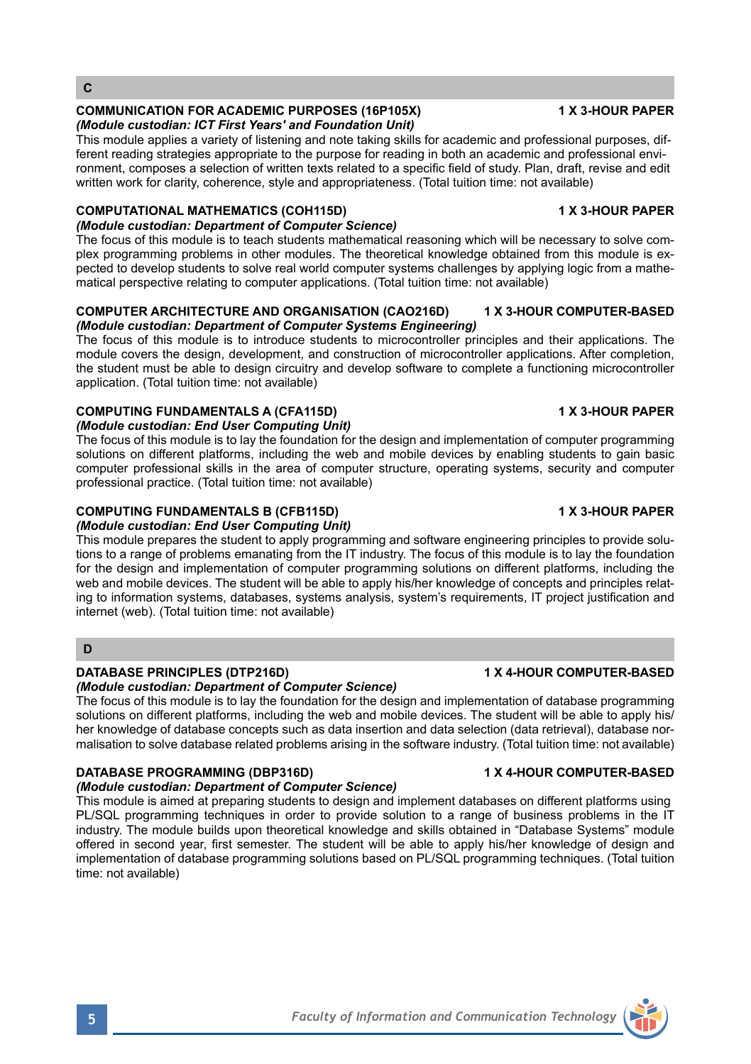### **COMMUNICATION FOR ACADEMIC PURPOSES (16P105X) 1 X 3-HOUR PAPER** *(Module custodian: ICT First Years' and Foundation Unit)*

This module applies a variety of listening and note taking skills for academic and professional purposes, different reading strategies appropriate to the purpose for reading in both an academic and professional environment, composes a selection of written texts related to a specific field of study. Plan, draft, revise and edit written work for clarity, coherence, style and appropriateness. (Total tuition time: not available)

# **COMPUTATIONAL MATHEMATICS (COH115D)** 1 X 3-HOUR PAPER

## *(Module custodian: Department of Computer Science)*

The focus of this module is to teach students mathematical reasoning which will be necessary to solve complex programming problems in other modules. The theoretical knowledge obtained from this module is expected to develop students to solve real world computer systems challenges by applying logic from a mathematical perspective relating to computer applications. (Total tuition time: not available)

### **COMPUTER ARCHITECTURE AND ORGANISATION (CAO216D) 1 X 3-HOUR COMPUTER-BASED** *(Module custodian: Department of Computer Systems Engineering)*

The focus of this module is to introduce students to microcontroller principles and their applications. The module covers the design, development, and construction of microcontroller applications. After completion, the student must be able to design circuitry and develop software to complete a functioning microcontroller application. (Total tuition time: not available)

# **COMPUTING FUNDAMENTALS A (CFA115D)** 1 X 3-HOUR PAPER

# *(Module custodian: End User Computing Unit)*

The focus of this module is to lay the foundation for the design and implementation of computer programming solutions on different platforms, including the web and mobile devices by enabling students to gain basic computer professional skills in the area of computer structure, operating systems, security and computer professional practice. (Total tuition time: not available)

# **COMPUTING FUNDAMENTALS B (CFB115D) 1 X 3-HOUR PAPER**

# *(Module custodian: End User Computing Unit)*

This module prepares the student to apply programming and software engineering principles to provide solutions to a range of problems emanating from the IT industry. The focus of this module is to lay the foundation for the design and implementation of computer programming solutions on different platforms, including the web and mobile devices. The student will be able to apply his/her knowledge of concepts and principles relating to information systems, databases, systems analysis, system's requirements, IT project justification and internet (web). (Total tuition time: not available)

## **D**

## **DATABASE PRINCIPLES (DTP216D) 1 X 4-HOUR COMPUTER-BASED**

*(Module custodian: Department of Computer Science)* 

The focus of this module is to lay the foundation for the design and implementation of database programming solutions on different platforms, including the web and mobile devices. The student will be able to apply his/ her knowledge of database concepts such as data insertion and data selection (data retrieval), database normalisation to solve database related problems arising in the software industry. (Total tuition time: not available)

## **DATABASE PROGRAMMING (DBP316D) 1 X 4-HOUR COMPUTER-BASED**

## *(Module custodian: Department of Computer Science)*

This module is aimed at preparing students to design and implement databases on different platforms using PL/SQL programming techniques in order to provide solution to a range of business problems in the IT industry. The module builds upon theoretical knowledge and skills obtained in "Database Systems" module offered in second year, first semester. The student will be able to apply his/her knowledge of design and implementation of database programming solutions based on PL/SQL programming techniques. (Total tuition time: not available)

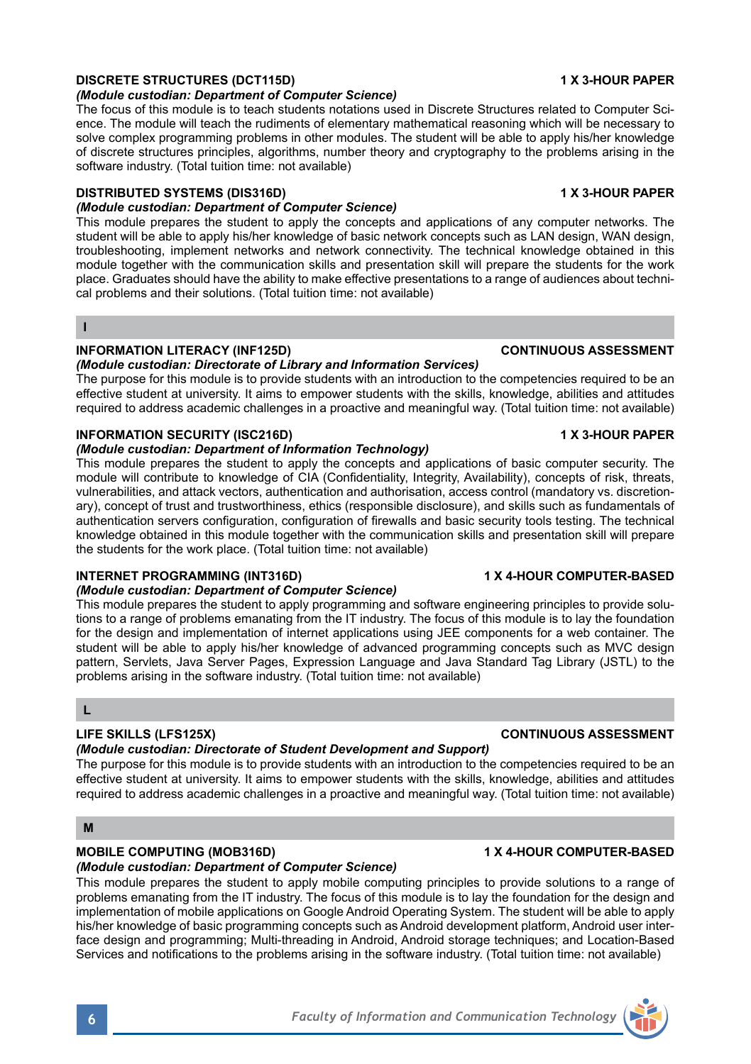## **DISCRETE STRUCTURES (DCT115D) 1 X 3-HOUR PAPER**

## *(Module custodian: Department of Computer Science)*

The focus of this module is to teach students notations used in Discrete Structures related to Computer Science. The module will teach the rudiments of elementary mathematical reasoning which will be necessary to solve complex programming problems in other modules. The student will be able to apply his/her knowledge of discrete structures principles, algorithms, number theory and cryptography to the problems arising in the software industry. (Total tuition time: not available)

## **DISTRIBUTED SYSTEMS (DIS316D) 1 X 3-HOUR PAPER**

## *(Module custodian: Department of Computer Science)*

This module prepares the student to apply the concepts and applications of any computer networks. The student will be able to apply his/her knowledge of basic network concepts such as LAN design, WAN design, troubleshooting, implement networks and network connectivity. The technical knowledge obtained in this module together with the communication skills and presentation skill will prepare the students for the work place. Graduates should have the ability to make effective presentations to a range of audiences about technical problems and their solutions. (Total tuition time: not available)

#### **I**

## **INFORMATION LITERACY (INF125D)** CONTINUOUS ASSESSMENT

## *(Module custodian: Directorate of Library and Information Services)*

The purpose for this module is to provide students with an introduction to the competencies required to be an effective student at university. It aims to empower students with the skills, knowledge, abilities and attitudes required to address academic challenges in a proactive and meaningful way. (Total tuition time: not available)

## **INFORMATION SECURITY (ISC216D) 1 X 3-HOUR PAPER**

## *(Module custodian: Department of Information Technology)*

This module prepares the student to apply the concepts and applications of basic computer security. The module will contribute to knowledge of CIA (Confidentiality, Integrity, Availability), concepts of risk, threats, vulnerabilities, and attack vectors, authentication and authorisation, access control (mandatory vs. discretionary), concept of trust and trustworthiness, ethics (responsible disclosure), and skills such as fundamentals of authentication servers configuration, configuration of firewalls and basic security tools testing. The technical knowledge obtained in this module together with the communication skills and presentation skill will prepare the students for the work place. (Total tuition time: not available)

# **INTERNET PROGRAMMING (INT316D) 1 X 4-HOUR COMPUTER-BASED**

## *(Module custodian: Department of Computer Science)*

This module prepares the student to apply programming and software engineering principles to provide solutions to a range of problems emanating from the IT industry. The focus of this module is to lay the foundation for the design and implementation of internet applications using JEE components for a web container. The student will be able to apply his/her knowledge of advanced programming concepts such as MVC design pattern, Servlets, Java Server Pages, Expression Language and Java Standard Tag Library (JSTL) to the problems arising in the software industry. (Total tuition time: not available)

### **L**

# **LIFE SKILLS (LFS125X) CONTINUOUS ASSESSMENT**

## *(Module custodian: Directorate of Student Development and Support)*

The purpose for this module is to provide students with an introduction to the competencies required to be an effective student at university. It aims to empower students with the skills, knowledge, abilities and attitudes required to address academic challenges in a proactive and meaningful way. (Total tuition time: not available)

## **M**

## **MOBILE COMPUTING (MOB316D) 1 X 4-HOUR COMPUTER-BASED**

*(Module custodian: Department of Computer Science)*  This module prepares the student to apply mobile computing principles to provide solutions to a range of problems emanating from the IT industry. The focus of this module is to lay the foundation for the design and implementation of mobile applications on Google Android Operating System. The student will be able to apply his/her knowledge of basic programming concepts such as Android development platform, Android user interface design and programming; Multi-threading in Android, Android storage techniques; and Location-Based Services and notifications to the problems arising in the software industry. (Total tuition time: not available)

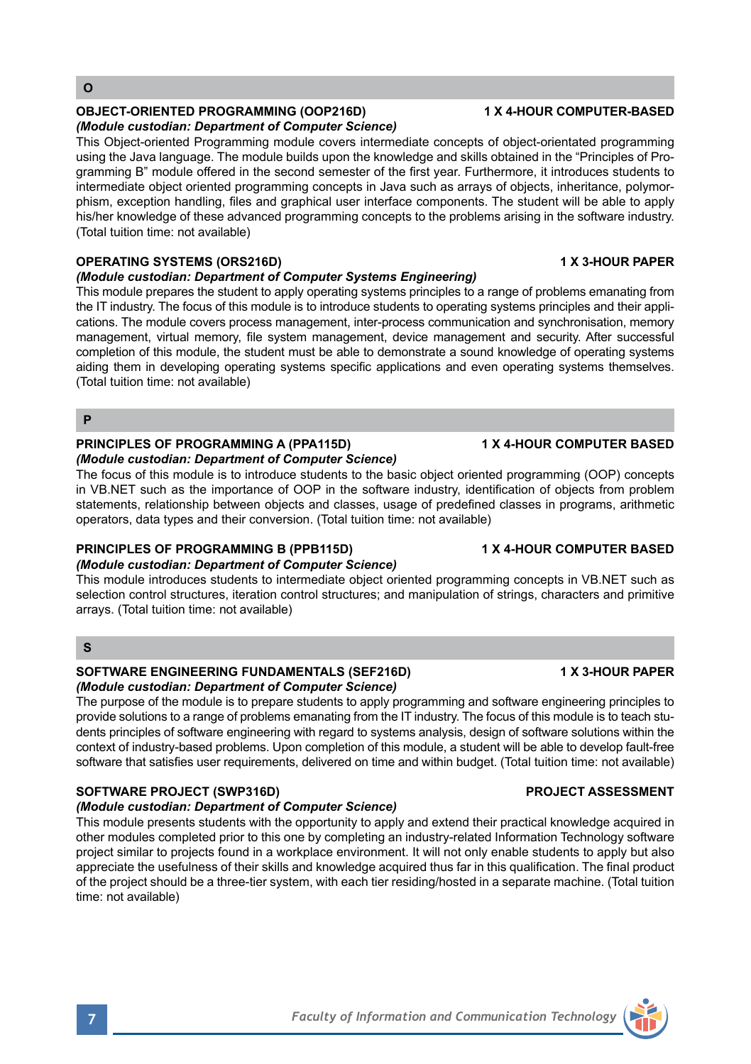## **OBJECT-ORIENTED PROGRAMMING (OOP216D) 1 X 4-HOUR COMPUTER-BASED**

## *(Module custodian: Department of Computer Science)*

This Object-oriented Programming module covers intermediate concepts of object-orientated programming using the Java language. The module builds upon the knowledge and skills obtained in the "Principles of Programming B" module offered in the second semester of the first year. Furthermore, it introduces students to intermediate object oriented programming concepts in Java such as arrays of objects, inheritance, polymorphism, exception handling, files and graphical user interface components. The student will be able to apply his/her knowledge of these advanced programming concepts to the problems arising in the software industry. (Total tuition time: not available)

## **OPERATING SYSTEMS (ORS216D) 1 X 3-HOUR PAPER**

### *(Module custodian: Department of Computer Systems Engineering)*

This module prepares the student to apply operating systems principles to a range of problems emanating from the IT industry. The focus of this module is to introduce students to operating systems principles and their applications. The module covers process management, inter-process communication and synchronisation, memory management, virtual memory, file system management, device management and security. After successful completion of this module, the student must be able to demonstrate a sound knowledge of operating systems aiding them in developing operating systems specific applications and even operating systems themselves. (Total tuition time: not available)

#### **P**

#### **PRINCIPLES OF PROGRAMMING A (PPA115D) 4 X 4-HOUR COMPUTER BASED** *(Module custodian: Department of Computer Science)*

The focus of this module is to introduce students to the basic object oriented programming (OOP) concepts in VB.NET such as the importance of OOP in the software industry, identification of objects from problem statements, relationship between objects and classes, usage of predefined classes in programs, arithmetic operators, data types and their conversion. (Total tuition time: not available)

## **PRINCIPLES OF PROGRAMMING B (PPB115D) 1 X 4-HOUR COMPUTER BASED**

## *(Module custodian: Department of Computer Science)*

This module introduces students to intermediate object oriented programming concepts in VB.NET such as selection control structures, iteration control structures; and manipulation of strings, characters and primitive arrays. (Total tuition time: not available)

## **S**

### SOFTWARE ENGINEERING FUNDAMENTALS (SEF216D) 1X 3-HOUR PAPER *(Module custodian: Department of Computer Science)*

The purpose of the module is to prepare students to apply programming and software engineering principles to provide solutions to a range of problems emanating from the IT industry. The focus of this module is to teach students principles of software engineering with regard to systems analysis, design of software solutions within the context of industry-based problems. Upon completion of this module, a student will be able to develop fault-free software that satisfies user requirements, delivered on time and within budget. (Total tuition time: not available)

## **SOFTWARE PROJECT (SWP316D) PROJECT ASSESSMENT**

## *(Module custodian: Department of Computer Science)*

This module presents students with the opportunity to apply and extend their practical knowledge acquired in other modules completed prior to this one by completing an industry-related Information Technology software project similar to projects found in a workplace environment. It will not only enable students to apply but also appreciate the usefulness of their skills and knowledge acquired thus far in this qualification. The final product of the project should be a three-tier system, with each tier residing/hosted in a separate machine. (Total tuition time: not available)

# **7** *Faculty of Information and Communication Technology*